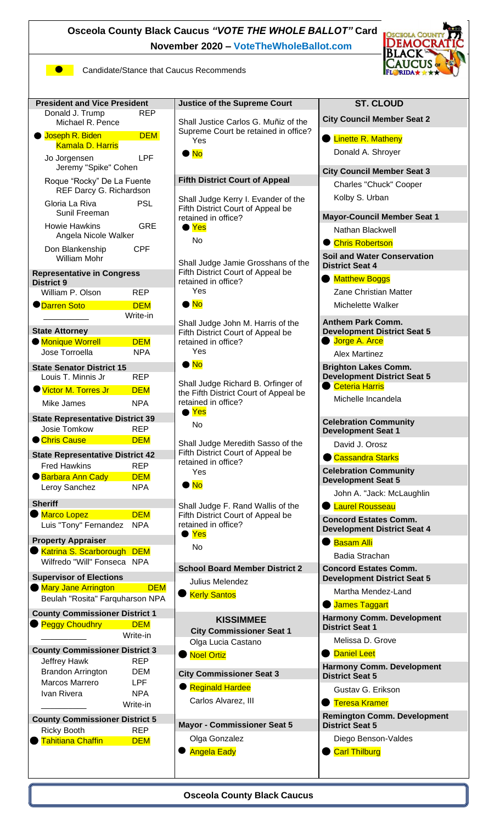**Osceola County Black Caucus** *"VOTE THE WHOLE BALLOT"* **Card** DEM **November 2020 – [VoteTheWholeBallot.com](http://www.votethewholeballot.com/) Candidate/Stance that Caucus Recommends President and Vice President Justice of the Supreme Court ST. CLOUD** Donald J. Trump REP **City Council Member Seat 2**  Shall Justice Carlos G. Muñiz of the Michael R. Pence Supreme Court be retained in office? ● Joseph R. Biden DEM **C** Linette R. Matheny Yes Kamala D. Harris Donald A. Shroyer  $\bullet$  No Jo Jorgensen LPF Jeremy "Spike" Cohen **City Council Member Seat 3**  Roque "Rocky" De La Fuente **Fifth District Court of Appeal** Charles "Chuck" Cooper REF Darcy G. Richardson Kolby S. Urban Shall Judge Kerry I. Evander of the Gloria La Riva **PSL** Fifth District Court of Appeal be Sunil Freeman **Mayor-Council Member Seat 1**  retained in office?

Fifth District Court of Appeal be

Shall Judge John M. Harris of the Fifth District Court of Appeal be

Shall Judge Richard B. Orfinger of the Fifth District Court of Appeal be

Shall Judge Meredith Sasso of the Fifth District Court of Appeal be

Shall Judge F. Rand Wallis of the Fifth District Court of Appeal be

**School Board Member District 2** 

retained in office? Yes  $\blacksquare$  No

retained in office? Yes  $\bullet$  No

retained in office?

retained in office? Yes  $\bullet$  No

retained in office? Yes No

●

Julius Melendez

**Kerly Santos** 

● Yes No

● Yes No

Shall Judge Jamie Grosshans of the Nathan Blackwell Chris Robertson **Soil and Water Conservation District Seat 4**

> **Matthew Boggs** Zane Christian Matter Michelette Walker

**Anthem Park Comm. Development District Seat 5 Jorge A. Arce** 

Alex Martinez

**Brighton Lakes Comm. Development District Seat 5** Ceteria Harris

Michelle Incandela

**Celebration Community Development Seat 1**

David J. Orosz

Cassandra Starks **Celebration Community** 

**Development Seat 5** 

John A. "Jack: McLaughlin

**C** Laurel Rousseau

**Concord Estates Comm. Development District Seat 4**

Basam Alli Badia Strachan

**Concord Estates Comm. Development District Seat 5**

Martha Mendez-Land

**James Taggart** 

**Harmony Comm. Development District Seat 1**

Melissa D. Grove

Daniel Leet **Harmony Comm. Development District Seat 5**

Gustav G. Erikson

● Teresa Kramer

**Remington Comm. Development District Seat 5**

Diego Benson-Valdes **Carl Thilburg** 

Howie Hawkins GRE Angela Nicole Walker Don Blankenship CPF

Write-in

William Mohr **Representative in Congress** 

**District 9**

William P. Olson REP ● <mark>Darren Soto DEM</mark>

**State Attorney** 

**Monique Worrell DEM** 

Jose Torroella NPA **State Senator District 15**  Louis T. Minnis Jr REP Victor M. Torres Jr DEM Mike James NPA

## **State Representative District 39** Josie Tomkow REP

● Chris Cause **DEM State Representative District 42**

### Fred Hawkins REP ● Barbara Ann Cady DEM Leroy Sanchez NPA

**Sheriff**  $\bigcirc$  Marco Lopez DEM Luis "Tony" Fernandez NPA

**Property Appraiser Katrina S. Scarborough DEM** 

```
Wilfredo "Will" Fonseca NPA
```
**Supervisor of Elections**

| <b>Mary Jane Arrington</b>      | <b>DEM</b> |
|---------------------------------|------------|
| Beulah "Rosita" Farquharson NPA |            |

| <b>County Commissioner District 1</b> |            |  |  |  |
|---------------------------------------|------------|--|--|--|
| <b>Peggy Choudhry</b>                 | DEM        |  |  |  |
|                                       | Write-in   |  |  |  |
| <b>County Commissioner District 3</b> |            |  |  |  |
| <b>Jeffrey Hawk</b>                   | REP        |  |  |  |
| <b>Brandon Arrington</b>              | DEM        |  |  |  |
| Marcos Marrero                        | LPF        |  |  |  |
| Ivan Rivera                           | NPA        |  |  |  |
|                                       | Write-in   |  |  |  |
| <b>County Commissioner District 5</b> |            |  |  |  |
| Ricky Booth                           | REP        |  |  |  |
| <b>Tahitiana Chaffin</b>              | <b>DEM</b> |  |  |  |
|                                       |            |  |  |  |

**KISSIMMEE City Commissioner Seat 1**  Olga Lucia Castano ● Noel Ortiz

**City Commissioner Seat 3** 

**Reginald Hardee** Carlos Alvarez, III

**Mayor - Commissioner Seat 5**

Olga Gonzalez **Angela Eady** 

**Osceola County Black Caucus**